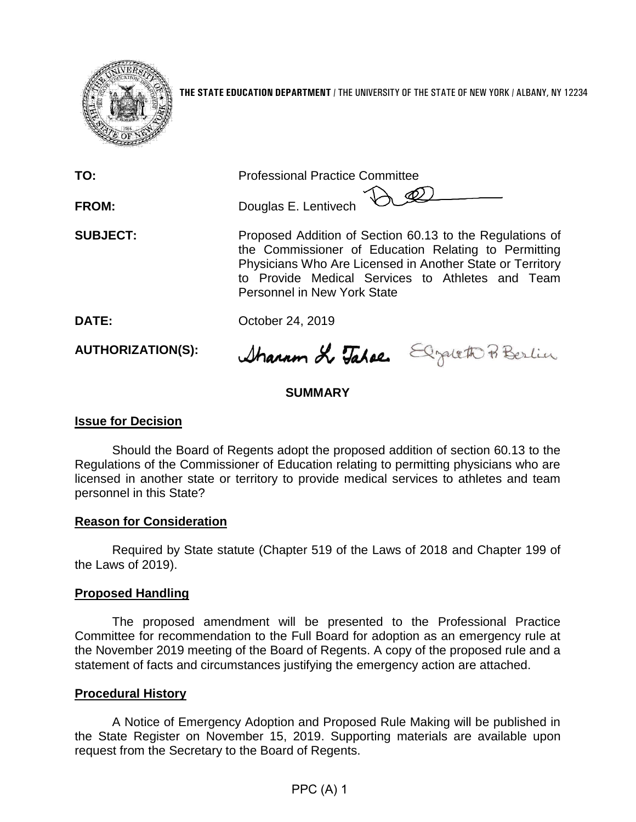

**THE STATE EDUCATION DEPARTMENT** / THE UNIVERSITY OF THE STATE OF NEW YORK / ALBANY, NY 12234

| TO:<br>FROM:    | <b>Professional Practice Committee</b><br>Douglas E. Lentivech                                                                                                                                                                                                          |
|-----------------|-------------------------------------------------------------------------------------------------------------------------------------------------------------------------------------------------------------------------------------------------------------------------|
| <b>SUBJECT:</b> | Proposed Addition of Section 60.13 to the Regulations of<br>the Commissioner of Education Relating to Permitting<br>Physicians Who Are Licensed in Another State or Territory<br>to Provide Medical Services to Athletes and Team<br><b>Personnel in New York State</b> |
| DATE:           | October 24, 2019                                                                                                                                                                                                                                                        |

**AUTHORIZATION(S):**

Sharron & Takes Elizatett Berlin

## **SUMMARY**

#### **Issue for Decision**

Should the Board of Regents adopt the proposed addition of section 60.13 to the Regulations of the Commissioner of Education relating to permitting physicians who are licensed in another state or territory to provide medical services to athletes and team personnel in this State?

#### **Reason for Consideration**

Required by State statute (Chapter 519 of the Laws of 2018 and Chapter 199 of the Laws of 2019).

#### **Proposed Handling**

The proposed amendment will be presented to the Professional Practice Committee for recommendation to the Full Board for adoption as an emergency rule at the November 2019 meeting of the Board of Regents. A copy of the proposed rule and a statement of facts and circumstances justifying the emergency action are attached.

#### **Procedural History**

A Notice of Emergency Adoption and Proposed Rule Making will be published in the State Register on November 15, 2019. Supporting materials are available upon request from the Secretary to the Board of Regents.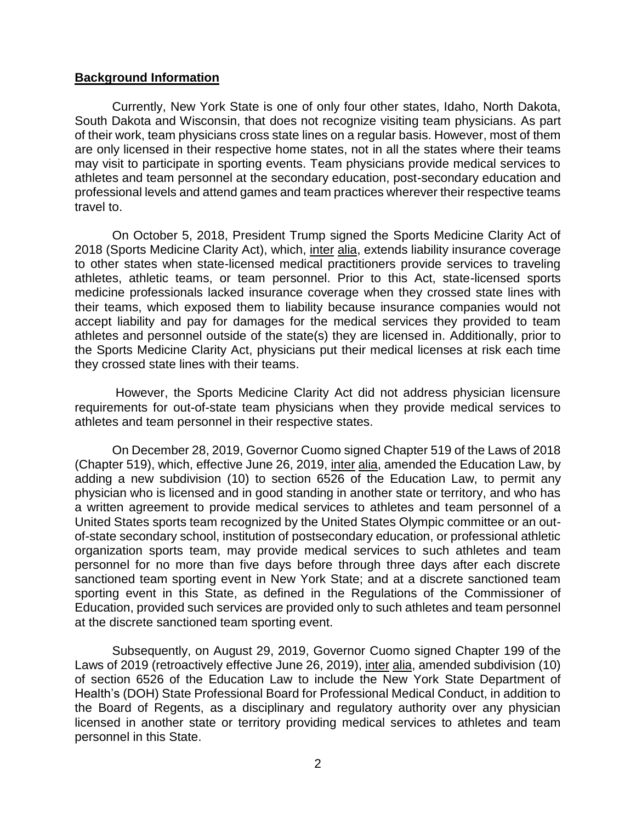### **Background Information**

Currently, New York State is one of only four other states, Idaho, North Dakota, South Dakota and Wisconsin, that does not recognize visiting team physicians. As part of their work, team physicians cross state lines on a regular basis. However, most of them are only licensed in their respective home states, not in all the states where their teams may visit to participate in sporting events. Team physicians provide medical services to athletes and team personnel at the secondary education, post-secondary education and professional levels and attend games and team practices wherever their respective teams travel to.

On October 5, 2018, President Trump signed the Sports Medicine Clarity Act of 2018 (Sports Medicine Clarity Act), which, inter alia, extends liability insurance coverage to other states when state-licensed medical practitioners provide services to traveling athletes, athletic teams, or team personnel. Prior to this Act, state-licensed sports medicine professionals lacked insurance coverage when they crossed state lines with their teams, which exposed them to liability because insurance companies would not accept liability and pay for damages for the medical services they provided to team athletes and personnel outside of the state(s) they are licensed in. Additionally, prior to the Sports Medicine Clarity Act, physicians put their medical licenses at risk each time they crossed state lines with their teams.

However, the Sports Medicine Clarity Act did not address physician licensure requirements for out-of-state team physicians when they provide medical services to athletes and team personnel in their respective states.

On December 28, 2019, Governor Cuomo signed Chapter 519 of the Laws of 2018 (Chapter 519), which, effective June 26, 2019, inter alia, amended the Education Law, by adding a new subdivision (10) to section 6526 of the Education Law, to permit any physician who is licensed and in good standing in another state or territory, and who has a written agreement to provide medical services to athletes and team personnel of a United States sports team recognized by the United States Olympic committee or an outof-state secondary school, institution of postsecondary education, or professional athletic organization sports team, may provide medical services to such athletes and team personnel for no more than five days before through three days after each discrete sanctioned team sporting event in New York State; and at a discrete sanctioned team sporting event in this State, as defined in the Regulations of the Commissioner of Education, provided such services are provided only to such athletes and team personnel at the discrete sanctioned team sporting event.

Subsequently, on August 29, 2019, Governor Cuomo signed Chapter 199 of the Laws of 2019 (retroactively effective June 26, 2019), inter alia, amended subdivision (10) of section 6526 of the Education Law to include the New York State Department of Health's (DOH) State Professional Board for Professional Medical Conduct, in addition to the Board of Regents, as a disciplinary and regulatory authority over any physician licensed in another state or territory providing medical services to athletes and team personnel in this State.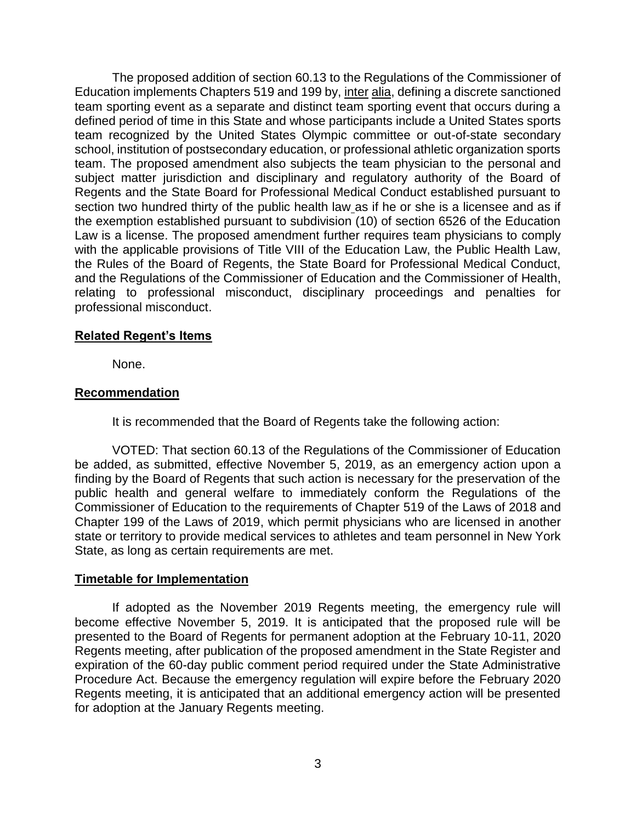The proposed addition of section 60.13 to the Regulations of the Commissioner of Education implements Chapters 519 and 199 by, inter alia, defining a discrete sanctioned team sporting event as a separate and distinct team sporting event that occurs during a defined period of time in this State and whose participants include a United States sports team recognized by the United States Olympic committee or out-of-state secondary school, institution of postsecondary education, or professional athletic organization sports team. The proposed amendment also subjects the team physician to the personal and subject matter jurisdiction and disciplinary and regulatory authority of the Board of Regents and the State Board for Professional Medical Conduct established pursuant to section two hundred thirty of the public health law as if he or she is a licensee and as if the exemption established pursuant to subdivision (10) of section 6526 of the Education Law is a license. The proposed amendment further requires team physicians to comply with the applicable provisions of Title VIII of the Education Law, the Public Health Law, the Rules of the Board of Regents, the State Board for Professional Medical Conduct, and the Regulations of the Commissioner of Education and the Commissioner of Health, relating to professional misconduct, disciplinary proceedings and penalties for professional misconduct.

### **Related Regent's Items**

None.

## **Recommendation**

It is recommended that the Board of Regents take the following action:

VOTED: That section 60.13 of the Regulations of the Commissioner of Education be added, as submitted, effective November 5, 2019, as an emergency action upon a finding by the Board of Regents that such action is necessary for the preservation of the public health and general welfare to immediately conform the Regulations of the Commissioner of Education to the requirements of Chapter 519 of the Laws of 2018 and Chapter 199 of the Laws of 2019, which permit physicians who are licensed in another state or territory to provide medical services to athletes and team personnel in New York State, as long as certain requirements are met.

#### **Timetable for Implementation**

If adopted as the November 2019 Regents meeting, the emergency rule will become effective November 5, 2019. It is anticipated that the proposed rule will be presented to the Board of Regents for permanent adoption at the February 10-11, 2020 Regents meeting, after publication of the proposed amendment in the State Register and expiration of the 60-day public comment period required under the State Administrative Procedure Act. Because the emergency regulation will expire before the February 2020 Regents meeting, it is anticipated that an additional emergency action will be presented for adoption at the January Regents meeting.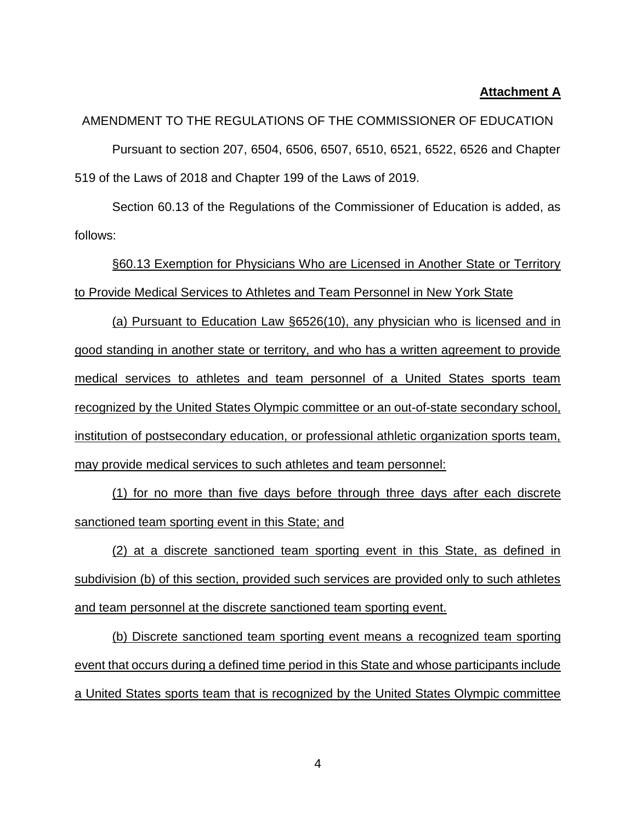#### **Attachment A**

AMENDMENT TO THE REGULATIONS OF THE COMMISSIONER OF EDUCATION Pursuant to section 207, 6504, 6506, 6507, 6510, 6521, 6522, 6526 and Chapter 519 of the Laws of 2018 and Chapter 199 of the Laws of 2019.

Section 60.13 of the Regulations of the Commissioner of Education is added, as follows:

§60.13 Exemption for Physicians Who are Licensed in Another State or Territory to Provide Medical Services to Athletes and Team Personnel in New York State

(a) Pursuant to Education Law §6526(10), any physician who is licensed and in good standing in another state or territory, and who has a written agreement to provide medical services to athletes and team personnel of a United States sports team recognized by the United States Olympic committee or an out-of-state secondary school, institution of postsecondary education, or professional athletic organization sports team, may provide medical services to such athletes and team personnel:

(1) for no more than five days before through three days after each discrete sanctioned team sporting event in this State; and

(2) at a discrete sanctioned team sporting event in this State, as defined in subdivision (b) of this section, provided such services are provided only to such athletes and team personnel at the discrete sanctioned team sporting event.

(b) Discrete sanctioned team sporting event means a recognized team sporting event that occurs during a defined time period in this State and whose participants include a United States sports team that is recognized by the United States Olympic committee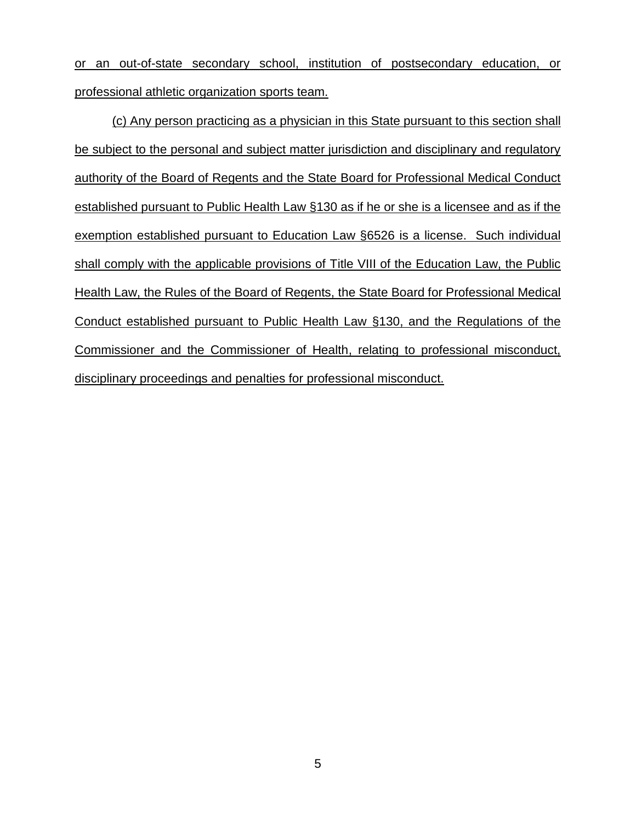or an out-of-state secondary school, institution of postsecondary education, or professional athletic organization sports team.

(c) Any person practicing as a physician in this State pursuant to this section shall be subject to the personal and subject matter jurisdiction and disciplinary and regulatory authority of the Board of Regents and the State Board for Professional Medical Conduct established pursuant to Public Health Law §130 as if he or she is a licensee and as if the exemption established pursuant to Education Law §6526 is a license. Such individual shall comply with the applicable provisions of Title VIII of the Education Law, the Public Health Law, the Rules of the Board of Regents, the State Board for Professional Medical Conduct established pursuant to Public Health Law §130, and the Regulations of the Commissioner and the Commissioner of Health, relating to professional misconduct, disciplinary proceedings and penalties for professional misconduct.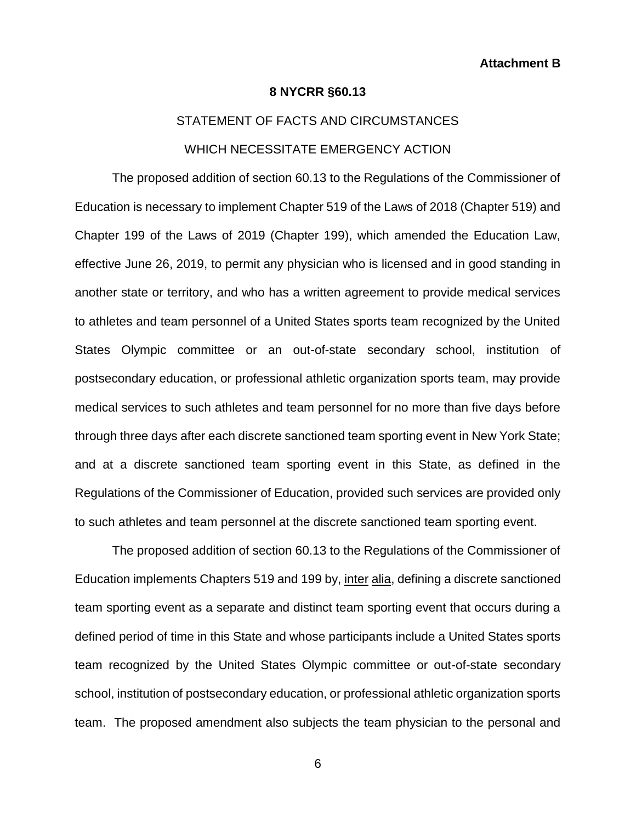#### **8 NYCRR §60.13**

# STATEMENT OF FACTS AND CIRCUMSTANCES WHICH NECESSITATE EMERGENCY ACTION

The proposed addition of section 60.13 to the Regulations of the Commissioner of Education is necessary to implement Chapter 519 of the Laws of 2018 (Chapter 519) and Chapter 199 of the Laws of 2019 (Chapter 199), which amended the Education Law, effective June 26, 2019, to permit any physician who is licensed and in good standing in another state or territory, and who has a written agreement to provide medical services to athletes and team personnel of a United States sports team recognized by the United States Olympic committee or an out-of-state secondary school, institution of postsecondary education, or professional athletic organization sports team, may provide medical services to such athletes and team personnel for no more than five days before through three days after each discrete sanctioned team sporting event in New York State; and at a discrete sanctioned team sporting event in this State, as defined in the Regulations of the Commissioner of Education, provided such services are provided only to such athletes and team personnel at the discrete sanctioned team sporting event.

The proposed addition of section 60.13 to the Regulations of the Commissioner of Education implements Chapters 519 and 199 by, inter alia, defining a discrete sanctioned team sporting event as a separate and distinct team sporting event that occurs during a defined period of time in this State and whose participants include a United States sports team recognized by the United States Olympic committee or out-of-state secondary school, institution of postsecondary education, or professional athletic organization sports team. The proposed amendment also subjects the team physician to the personal and

6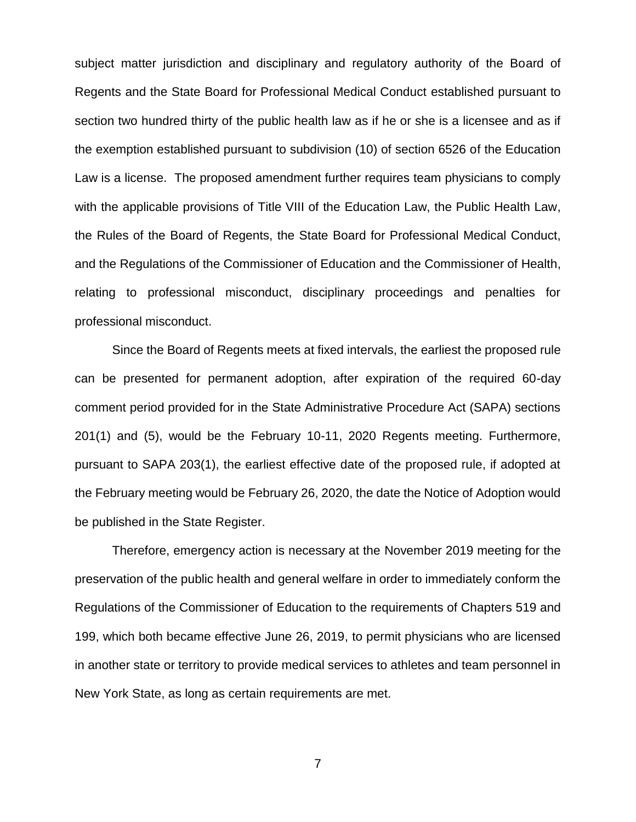subject matter jurisdiction and disciplinary and regulatory authority of the Board of Regents and the State Board for Professional Medical Conduct established pursuant to section two hundred thirty of the public health law as if he or she is a licensee and as if the exemption established pursuant to subdivision (10) of section 6526 of the Education Law is a license. The proposed amendment further requires team physicians to comply with the applicable provisions of Title VIII of the Education Law, the Public Health Law, the Rules of the Board of Regents, the State Board for Professional Medical Conduct, and the Regulations of the Commissioner of Education and the Commissioner of Health, relating to professional misconduct, disciplinary proceedings and penalties for professional misconduct.

Since the Board of Regents meets at fixed intervals, the earliest the proposed rule can be presented for permanent adoption, after expiration of the required 60-day comment period provided for in the State Administrative Procedure Act (SAPA) sections 201(1) and (5), would be the February 10-11, 2020 Regents meeting. Furthermore, pursuant to SAPA 203(1), the earliest effective date of the proposed rule, if adopted at the February meeting would be February 26, 2020, the date the Notice of Adoption would be published in the State Register.

Therefore, emergency action is necessary at the November 2019 meeting for the preservation of the public health and general welfare in order to immediately conform the Regulations of the Commissioner of Education to the requirements of Chapters 519 and 199, which both became effective June 26, 2019, to permit physicians who are licensed in another state or territory to provide medical services to athletes and team personnel in New York State, as long as certain requirements are met.

7